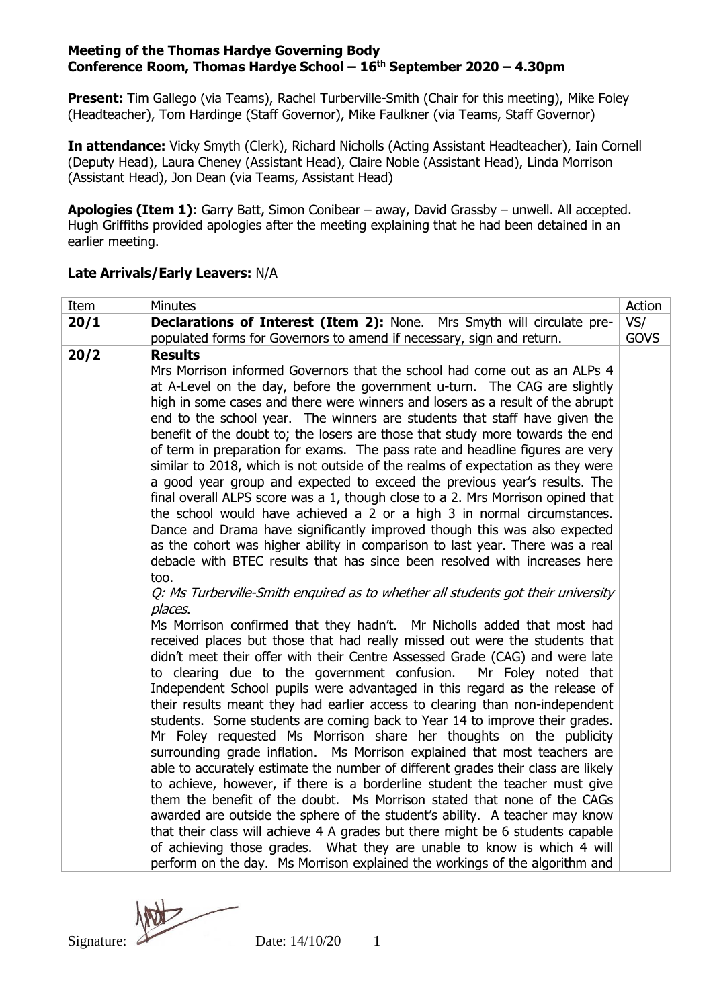## **Meeting of the Thomas Hardye Governing Body Conference Room, Thomas Hardye School – 16 th September 2020 – 4.30pm**

**Present:** Tim Gallego (via Teams), Rachel Turberville-Smith (Chair for this meeting), Mike Foley (Headteacher), Tom Hardinge (Staff Governor), Mike Faulkner (via Teams, Staff Governor)

**In attendance:** Vicky Smyth (Clerk), Richard Nicholls (Acting Assistant Headteacher), Iain Cornell (Deputy Head), Laura Cheney (Assistant Head), Claire Noble (Assistant Head), Linda Morrison (Assistant Head), Jon Dean (via Teams, Assistant Head)

**Apologies (Item 1)**: Garry Batt, Simon Conibear – away, David Grassby – unwell. All accepted. Hugh Griffiths provided apologies after the meeting explaining that he had been detained in an earlier meeting.

# **Late Arrivals/Early Leavers:** N/A

| Item                                                                  | Minutes                                                                                                                                                                                                                                                                                                                                                                                                                                                                                                                                                                                                                                                                                                                                                                                                                                                                                                                                                                                                                                                                                                                                                                                                                                                                                                                                                                                                                                                                                                                                                                                                                                                                                                                                                                                                                                                                                                                                                                                                                                                                                                                                                                                                                                                                                                                      | Action      |  |
|-----------------------------------------------------------------------|------------------------------------------------------------------------------------------------------------------------------------------------------------------------------------------------------------------------------------------------------------------------------------------------------------------------------------------------------------------------------------------------------------------------------------------------------------------------------------------------------------------------------------------------------------------------------------------------------------------------------------------------------------------------------------------------------------------------------------------------------------------------------------------------------------------------------------------------------------------------------------------------------------------------------------------------------------------------------------------------------------------------------------------------------------------------------------------------------------------------------------------------------------------------------------------------------------------------------------------------------------------------------------------------------------------------------------------------------------------------------------------------------------------------------------------------------------------------------------------------------------------------------------------------------------------------------------------------------------------------------------------------------------------------------------------------------------------------------------------------------------------------------------------------------------------------------------------------------------------------------------------------------------------------------------------------------------------------------------------------------------------------------------------------------------------------------------------------------------------------------------------------------------------------------------------------------------------------------------------------------------------------------------------------------------------------------|-------------|--|
| 20/1                                                                  | Declarations of Interest (Item 2): None. Mrs Smyth will circulate pre-                                                                                                                                                                                                                                                                                                                                                                                                                                                                                                                                                                                                                                                                                                                                                                                                                                                                                                                                                                                                                                                                                                                                                                                                                                                                                                                                                                                                                                                                                                                                                                                                                                                                                                                                                                                                                                                                                                                                                                                                                                                                                                                                                                                                                                                       |             |  |
| populated forms for Governors to amend if necessary, sign and return. |                                                                                                                                                                                                                                                                                                                                                                                                                                                                                                                                                                                                                                                                                                                                                                                                                                                                                                                                                                                                                                                                                                                                                                                                                                                                                                                                                                                                                                                                                                                                                                                                                                                                                                                                                                                                                                                                                                                                                                                                                                                                                                                                                                                                                                                                                                                              |             |  |
| 20/2                                                                  | <b>Results</b><br>Mrs Morrison informed Governors that the school had come out as an ALPs 4<br>at A-Level on the day, before the government u-turn. The CAG are slightly<br>high in some cases and there were winners and losers as a result of the abrupt<br>end to the school year. The winners are students that staff have given the<br>benefit of the doubt to; the losers are those that study more towards the end<br>of term in preparation for exams. The pass rate and headline figures are very<br>similar to 2018, which is not outside of the realms of expectation as they were<br>a good year group and expected to exceed the previous year's results. The<br>final overall ALPS score was a 1, though close to a 2. Mrs Morrison opined that<br>the school would have achieved a 2 or a high 3 in normal circumstances.<br>Dance and Drama have significantly improved though this was also expected<br>as the cohort was higher ability in comparison to last year. There was a real<br>debacle with BTEC results that has since been resolved with increases here<br>too.<br>Q: Ms Turberville-Smith enguired as to whether all students got their university<br>places.<br>Ms Morrison confirmed that they hadn't. Mr Nicholls added that most had<br>received places but those that had really missed out were the students that<br>didn't meet their offer with their Centre Assessed Grade (CAG) and were late<br>to clearing due to the government confusion.<br>Mr Foley noted that<br>Independent School pupils were advantaged in this regard as the release of<br>their results meant they had earlier access to clearing than non-independent<br>students. Some students are coming back to Year 14 to improve their grades.<br>Mr Foley requested Ms Morrison share her thoughts on the publicity<br>surrounding grade inflation. Ms Morrison explained that most teachers are<br>able to accurately estimate the number of different grades their class are likely<br>to achieve, however, if there is a borderline student the teacher must give<br>them the benefit of the doubt. Ms Morrison stated that none of the CAGs<br>awarded are outside the sphere of the student's ability. A teacher may know<br>that their class will achieve 4 A grades but there might be 6 students capable | <b>GOVS</b> |  |
|                                                                       | of achieving those grades. What they are unable to know is which 4 will<br>perform on the day. Ms Morrison explained the workings of the algorithm and                                                                                                                                                                                                                                                                                                                                                                                                                                                                                                                                                                                                                                                                                                                                                                                                                                                                                                                                                                                                                                                                                                                                                                                                                                                                                                                                                                                                                                                                                                                                                                                                                                                                                                                                                                                                                                                                                                                                                                                                                                                                                                                                                                       |             |  |

Signature:  $\triangle$  Date:  $14/10/20$  1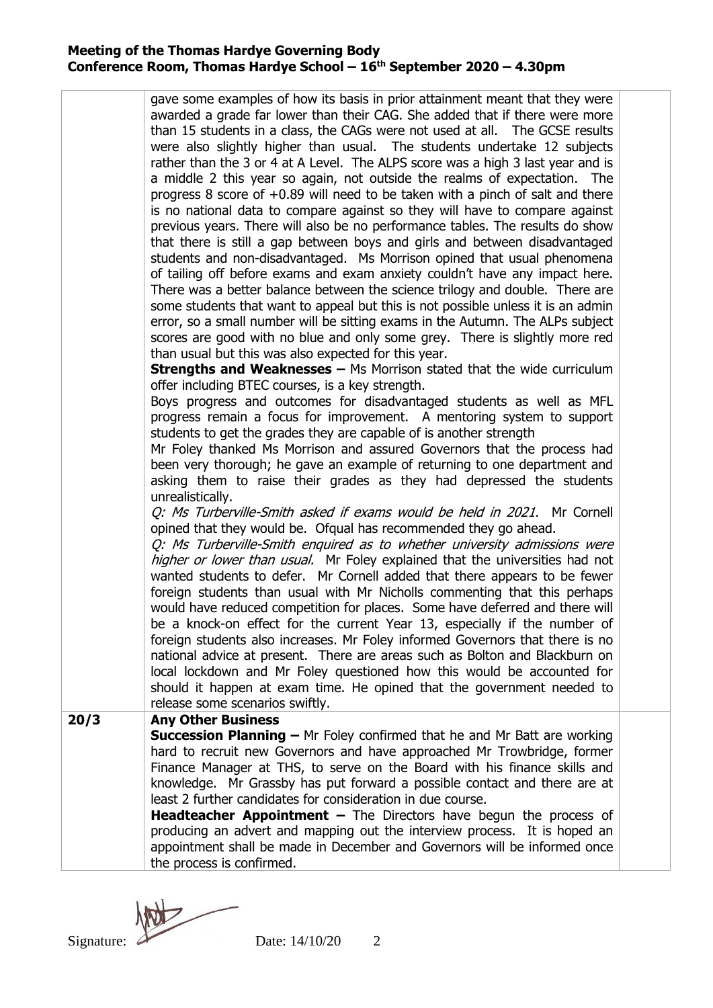## **Meeting of the Thomas Hardye Governing Body Conference Room, Thomas Hardye School – 16 th September 2020 – 4.30pm**

|      | gave some examples of how its basis in prior attainment meant that they were<br>awarded a grade far lower than their CAG. She added that if there were more<br>than 15 students in a class, the CAGs were not used at all. The GCSE results<br>were also slightly higher than usual. The students undertake 12 subjects<br>rather than the 3 or 4 at A Level. The ALPS score was a high 3 last year and is<br>a middle 2 this year so again, not outside the realms of expectation. The<br>progress 8 score of +0.89 will need to be taken with a pinch of salt and there<br>is no national data to compare against so they will have to compare against<br>previous years. There will also be no performance tables. The results do show<br>that there is still a gap between boys and girls and between disadvantaged<br>students and non-disadvantaged. Ms Morrison opined that usual phenomena<br>of tailing off before exams and exam anxiety couldn't have any impact here.<br>There was a better balance between the science trilogy and double. There are<br>some students that want to appeal but this is not possible unless it is an admin<br>error, so a small number will be sitting exams in the Autumn. The ALPs subject<br>scores are good with no blue and only some grey. There is slightly more red<br>than usual but this was also expected for this year.<br><b>Strengths and Weaknesses - Ms Morrison stated that the wide curriculum</b><br>offer including BTEC courses, is a key strength.<br>Boys progress and outcomes for disadvantaged students as well as MFL<br>progress remain a focus for improvement. A mentoring system to support<br>students to get the grades they are capable of is another strength<br>Mr Foley thanked Ms Morrison and assured Governors that the process had<br>been very thorough; he gave an example of returning to one department and<br>asking them to raise their grades as they had depressed the students<br>unrealistically.<br>Q: Ms Turberville-Smith asked if exams would be held in 2021. Mr Cornell<br>opined that they would be. Ofqual has recommended they go ahead.<br>Q: Ms Turberville-Smith enquired as to whether university admissions were<br>higher or lower than usual. Mr Foley explained that the universities had not<br>wanted students to defer. Mr Cornell added that there appears to be fewer<br>foreign students than usual with Mr Nicholls commenting that this perhaps<br>would have reduced competition for places. Some have deferred and there will<br>be a knock-on effect for the current Year 13, especially if the number of<br>foreign students also increases. Mr Foley informed Governors that there is no<br>national advice at present. There are areas such as Bolton and Blackburn on<br>local lockdown and Mr Foley questioned how this would be accounted for<br>should it happen at exam time. He opined that the government needed to |  |
|------|---------------------------------------------------------------------------------------------------------------------------------------------------------------------------------------------------------------------------------------------------------------------------------------------------------------------------------------------------------------------------------------------------------------------------------------------------------------------------------------------------------------------------------------------------------------------------------------------------------------------------------------------------------------------------------------------------------------------------------------------------------------------------------------------------------------------------------------------------------------------------------------------------------------------------------------------------------------------------------------------------------------------------------------------------------------------------------------------------------------------------------------------------------------------------------------------------------------------------------------------------------------------------------------------------------------------------------------------------------------------------------------------------------------------------------------------------------------------------------------------------------------------------------------------------------------------------------------------------------------------------------------------------------------------------------------------------------------------------------------------------------------------------------------------------------------------------------------------------------------------------------------------------------------------------------------------------------------------------------------------------------------------------------------------------------------------------------------------------------------------------------------------------------------------------------------------------------------------------------------------------------------------------------------------------------------------------------------------------------------------------------------------------------------------------------------------------------------------------------------------------------------------------------------------------------------------------------------------------------------------------------------------------------------------------------------------------------------------------------------------------------------------------------------------------------------------------------------------------------------------------------------------------------------------------------------------------------|--|
|      | release some scenarios swiftly.                                                                                                                                                                                                                                                                                                                                                                                                                                                                                                                                                                                                                                                                                                                                                                                                                                                                                                                                                                                                                                                                                                                                                                                                                                                                                                                                                                                                                                                                                                                                                                                                                                                                                                                                                                                                                                                                                                                                                                                                                                                                                                                                                                                                                                                                                                                                                                                                                                                                                                                                                                                                                                                                                                                                                                                                                                                                                                                         |  |
| 20/3 | <b>Any Other Business</b>                                                                                                                                                                                                                                                                                                                                                                                                                                                                                                                                                                                                                                                                                                                                                                                                                                                                                                                                                                                                                                                                                                                                                                                                                                                                                                                                                                                                                                                                                                                                                                                                                                                                                                                                                                                                                                                                                                                                                                                                                                                                                                                                                                                                                                                                                                                                                                                                                                                                                                                                                                                                                                                                                                                                                                                                                                                                                                                               |  |
|      | <b>Succession Planning - Mr Foley confirmed that he and Mr Batt are working</b><br>hard to recruit new Governors and have approached Mr Trowbridge, former<br>Finance Manager at THS, to serve on the Board with his finance skills and<br>knowledge. Mr Grassby has put forward a possible contact and there are at<br>least 2 further candidates for consideration in due course.<br><b>Headteacher Appointment -</b> The Directors have begun the process of<br>producing an advert and mapping out the interview process. It is hoped an<br>appointment shall be made in December and Governors will be informed once<br>the process is confirmed.                                                                                                                                                                                                                                                                                                                                                                                                                                                                                                                                                                                                                                                                                                                                                                                                                                                                                                                                                                                                                                                                                                                                                                                                                                                                                                                                                                                                                                                                                                                                                                                                                                                                                                                                                                                                                                                                                                                                                                                                                                                                                                                                                                                                                                                                                                  |  |

Signature: Date: 14/10/20 2